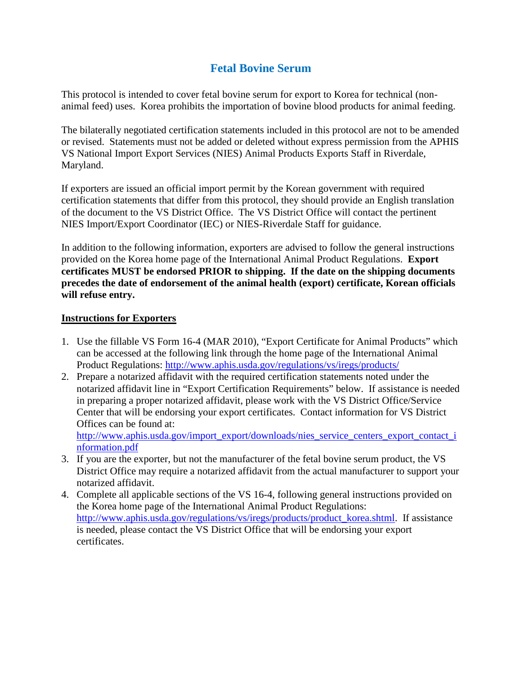## **Fetal Bovine Serum**

This protocol is intended to cover fetal bovine serum for export to Korea for technical (nonanimal feed) uses. Korea prohibits the importation of bovine blood products for animal feeding.

The bilaterally negotiated certification statements included in this protocol are not to be amended or revised. Statements must not be added or deleted without express permission from the APHIS VS National Import Export Services (NIES) Animal Products Exports Staff in Riverdale, Maryland.

If exporters are issued an official import permit by the Korean government with required certification statements that differ from this protocol, they should provide an English translation of the document to the VS District Office. The VS District Office will contact the pertinent NIES Import/Export Coordinator (IEC) or NIES-Riverdale Staff for guidance.

In addition to the following information, exporters are advised to follow the general instructions provided on the Korea home page of the International Animal Product Regulations. **Export certificates MUST be endorsed PRIOR to shipping. If the date on the shipping documents precedes the date of endorsement of the animal health (export) certificate, Korean officials will refuse entry.**

## **Instructions for Exporters**

- 1. Use the fillable VS Form 16-4 (MAR 2010), "Export Certificate for Animal Products" which can be accessed at the following link through the home page of the International Animal Product Regulations:<http://www.aphis.usda.gov/regulations/vs/iregs/products/>
- 2. Prepare a notarized affidavit with the required certification statements noted under the notarized affidavit line in "Export Certification Requirements" below. If assistance is needed in preparing a proper notarized affidavit, please work with the VS District Office/Service Center that will be endorsing your export certificates. Contact information for VS District Offices can be found at:

[http://www.aphis.usda.gov/import\\_export/downloads/nies\\_service\\_centers\\_export\\_contact\\_i](http://www.aphis.usda.gov/import_export/downloads/nies_service_centers_export_contact_information.pdf) [nformation.pdf](http://www.aphis.usda.gov/import_export/downloads/nies_service_centers_export_contact_information.pdf)

- 3. If you are the exporter, but not the manufacturer of the fetal bovine serum product, the VS District Office may require a notarized affidavit from the actual manufacturer to support your notarized affidavit.
- 4. Complete all applicable sections of the VS 16-4, following general instructions provided on the Korea home page of the International Animal Product Regulations: [http://www.aphis.usda.gov/regulations/vs/iregs/products/product\\_korea.shtml.](http://www.aphis.usda.gov/regulations/vs/iregs/products/product_korea.shtml) If assistance is needed, please contact the VS District Office that will be endorsing your export certificates.